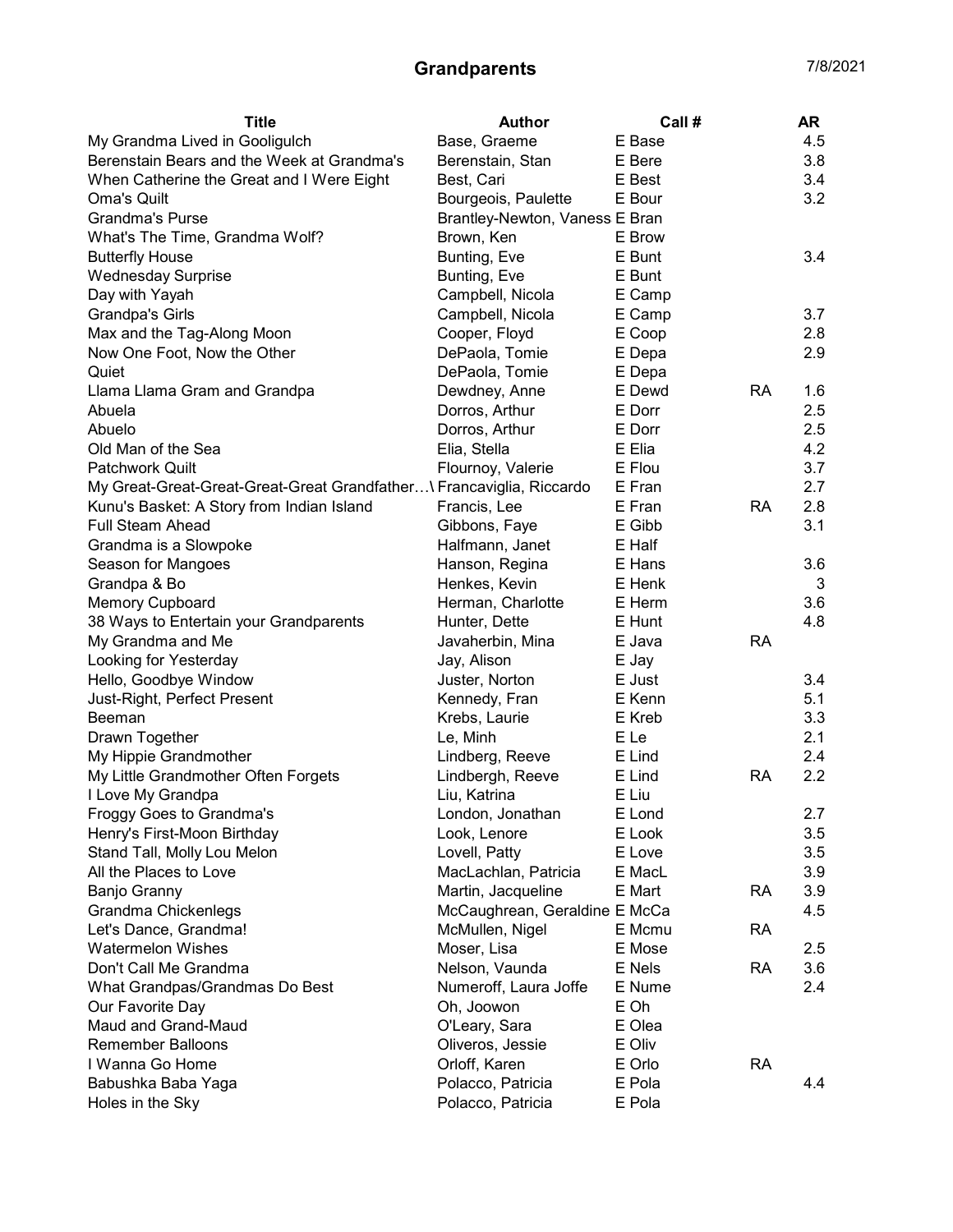## Grandparents 7/8/2021

| <b>Title</b>                                                         | <b>Author</b>                  | Call # |           | <b>AR</b> |
|----------------------------------------------------------------------|--------------------------------|--------|-----------|-----------|
| My Grandma Lived in Gooligulch                                       | Base, Graeme                   | E Base |           | 4.5       |
| Berenstain Bears and the Week at Grandma's                           | Berenstain, Stan               | E Bere |           | 3.8       |
| When Catherine the Great and I Were Eight                            | Best, Cari                     | E Best |           | 3.4       |
| Oma's Quilt                                                          | Bourgeois, Paulette            | E Bour |           | 3.2       |
| <b>Grandma's Purse</b>                                               | Brantley-Newton, Vaness E Bran |        |           |           |
| What's The Time, Grandma Wolf?                                       | Brown, Ken                     | E Brow |           |           |
| <b>Butterfly House</b>                                               | Bunting, Eve                   | E Bunt |           | 3.4       |
| <b>Wednesday Surprise</b>                                            | Bunting, Eve                   | E Bunt |           |           |
| Day with Yayah                                                       | Campbell, Nicola               | E Camp |           |           |
| <b>Grandpa's Girls</b>                                               | Campbell, Nicola               | E Camp |           | 3.7       |
| Max and the Tag-Along Moon                                           | Cooper, Floyd                  | E Coop |           | 2.8       |
| Now One Foot, Now the Other                                          | DePaola, Tomie                 | E Depa |           | 2.9       |
| Quiet                                                                | DePaola, Tomie                 | E Depa |           |           |
| Llama Llama Gram and Grandpa                                         | Dewdney, Anne                  | E Dewd | <b>RA</b> | 1.6       |
| Abuela                                                               | Dorros, Arthur                 | E Dorr |           | 2.5       |
| Abuelo                                                               | Dorros, Arthur                 | E Dorr |           | 2.5       |
| Old Man of the Sea                                                   | Elia, Stella                   | E Elia |           | 4.2       |
| <b>Patchwork Quilt</b>                                               | Flournoy, Valerie              | E Flou |           | 3.7       |
| My Great-Great-Great-Great-Great Grandfather\ Francaviglia, Riccardo |                                | E Fran |           | 2.7       |
| Kunu's Basket: A Story from Indian Island                            | Francis, Lee                   | E Fran | <b>RA</b> | 2.8       |
| <b>Full Steam Ahead</b>                                              | Gibbons, Faye                  | E Gibb |           | 3.1       |
| Grandma is a Slowpoke                                                | Halfmann, Janet                | E Half |           |           |
| Season for Mangoes                                                   | Hanson, Regina                 | E Hans |           | 3.6       |
| Grandpa & Bo                                                         | Henkes, Kevin                  | E Henk |           | 3         |
| <b>Memory Cupboard</b>                                               | Herman, Charlotte              | E Herm |           | 3.6       |
| 38 Ways to Entertain your Grandparents                               | Hunter, Dette                  | E Hunt |           | 4.8       |
| My Grandma and Me                                                    | Javaherbin, Mina               | E Java | <b>RA</b> |           |
| Looking for Yesterday                                                | Jay, Alison                    | E Jay  |           |           |
| Hello, Goodbye Window                                                | Juster, Norton                 | E Just |           | 3.4       |
| Just-Right, Perfect Present                                          | Kennedy, Fran                  | E Kenn |           | 5.1       |
| <b>Beeman</b>                                                        | Krebs, Laurie                  | E Kreb |           | 3.3       |
| Drawn Together                                                       | Le, Minh                       | E Le   |           | 2.1       |
| My Hippie Grandmother                                                | Lindberg, Reeve                | E Lind |           | 2.4       |
| My Little Grandmother Often Forgets                                  | Lindbergh, Reeve               | E Lind | <b>RA</b> | 2.2       |
| I Love My Grandpa                                                    | Liu, Katrina                   | E Liu  |           |           |
| Froggy Goes to Grandma's                                             | London, Jonathan               | E Lond |           | 2.7       |
| Henry's First-Moon Birthday                                          | Look, Lenore                   | E Look |           | 3.5       |
| Stand Tall, Molly Lou Melon                                          | Lovell, Patty                  | E Love |           | 3.5       |
| All the Places to Love                                               | MacLachlan, Patricia           | E MacL |           | 3.9       |
| Banjo Granny                                                         | Martin, Jacqueline             | E Mart | <b>RA</b> | 3.9       |
| Grandma Chickenlegs                                                  | McCaughrean, Geraldine E McCa  |        |           | 4.5       |
| Let's Dance, Grandma!                                                | McMullen, Nigel                | E Mcmu | <b>RA</b> |           |
| <b>Watermelon Wishes</b>                                             | Moser, Lisa                    | E Mose |           | 2.5       |
| Don't Call Me Grandma                                                | Nelson, Vaunda                 | E Nels | <b>RA</b> | 3.6       |
| What Grandpas/Grandmas Do Best                                       | Numeroff, Laura Joffe          | E Nume |           | 2.4       |
| Our Favorite Day                                                     | Oh, Joowon                     | E Oh   |           |           |
| Maud and Grand-Maud                                                  | O'Leary, Sara                  | E Olea |           |           |
| <b>Remember Balloons</b>                                             | Oliveros, Jessie               | E Oliv |           |           |
| I Wanna Go Home                                                      | Orloff, Karen                  | E Orlo | <b>RA</b> |           |
| Babushka Baba Yaga                                                   | Polacco, Patricia              | E Pola |           | 4.4       |
| Holes in the Sky                                                     | Polacco, Patricia              | E Pola |           |           |
|                                                                      |                                |        |           |           |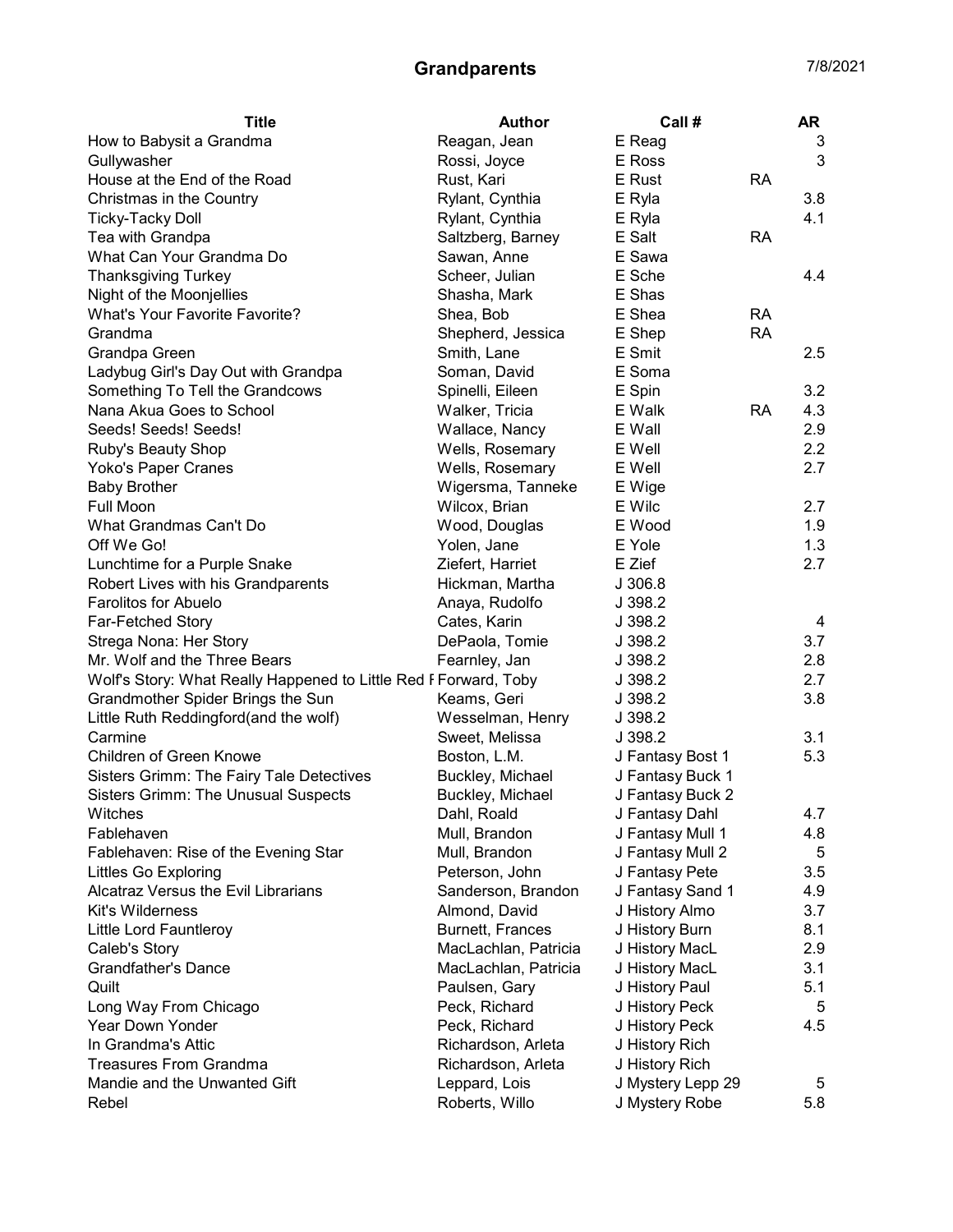## Grandparents 7/8/2021

| Reagan, Jean<br>E Reag<br>How to Babysit a Grandma                                 | 3   |
|------------------------------------------------------------------------------------|-----|
| E Ross<br>Gullywasher<br>Rossi, Joyce                                              | 3   |
| House at the End of the Road<br>Rust, Kari<br>E Rust<br><b>RA</b>                  |     |
| Rylant, Cynthia<br>E Ryla<br>Christmas in the Country                              | 3.8 |
| Rylant, Cynthia<br><b>Ticky-Tacky Doll</b><br>E Ryla                               | 4.1 |
| Tea with Grandpa<br>Saltzberg, Barney<br>E Salt<br><b>RA</b>                       |     |
| E Sawa<br>What Can Your Grandma Do<br>Sawan, Anne                                  |     |
| <b>Thanksgiving Turkey</b><br>Scheer, Julian<br>E Sche                             | 4.4 |
| Night of the Moonjellies<br>E Shas<br>Shasha, Mark                                 |     |
| What's Your Favorite Favorite?<br>E Shea<br><b>RA</b><br>Shea, Bob                 |     |
| <b>RA</b><br>E Shep<br>Grandma<br>Shepherd, Jessica                                |     |
| E Smit<br>Smith, Lane<br>Grandpa Green                                             | 2.5 |
| E Soma<br>Ladybug Girl's Day Out with Grandpa<br>Soman, David                      |     |
| E Spin<br>Something To Tell the Grandcows<br>Spinelli, Eileen                      | 3.2 |
| Nana Akua Goes to School<br>Walker, Tricia<br>E Walk<br><b>RA</b>                  | 4.3 |
| Seeds! Seeds! Seeds!<br>Wallace, Nancy<br>E Wall                                   | 2.9 |
| Wells, Rosemary<br>Ruby's Beauty Shop<br>E Well                                    | 2.2 |
| Yoko's Paper Cranes<br>Wells, Rosemary<br>E Well                                   | 2.7 |
| <b>Baby Brother</b><br>Wigersma, Tanneke<br>E Wige                                 |     |
| <b>Full Moon</b><br>E Wilc<br>Wilcox, Brian                                        | 2.7 |
| What Grandmas Can't Do<br>E Wood<br>Wood, Douglas                                  | 1.9 |
| Off We Go!<br>Yolen, Jane<br>E Yole                                                | 1.3 |
| Lunchtime for a Purple Snake<br>E Zief<br>Ziefert, Harriet                         | 2.7 |
| Robert Lives with his Grandparents<br>Hickman, Martha<br>J.306.8                   |     |
| <b>Farolitos for Abuelo</b><br>J 398.2<br>Anaya, Rudolfo                           |     |
| Far-Fetched Story<br>Cates, Karin<br>J 398.2                                       | 4   |
| Strega Nona: Her Story<br>DePaola, Tomie<br>J 398.2                                | 3.7 |
| Mr. Wolf and the Three Bears<br>Fearnley, Jan<br>J 398.2                           | 2.8 |
| Wolf's Story: What Really Happened to Little Red F Forward, Toby<br>J 398.2        | 2.7 |
| Grandmother Spider Brings the Sun<br>Keams, Geri<br>J 398.2                        | 3.8 |
| Little Ruth Reddingford(and the wolf)<br>Wesselman, Henry<br>J 398.2               |     |
| Sweet, Melissa<br>Carmine<br>J 398.2                                               | 3.1 |
| Children of Green Knowe<br>Boston, L.M.<br>J Fantasy Bost 1                        | 5.3 |
| Sisters Grimm: The Fairy Tale Detectives<br>Buckley, Michael<br>J Fantasy Buck 1   |     |
| <b>Sisters Grimm: The Unusual Suspects</b><br>Buckley, Michael<br>J Fantasy Buck 2 |     |
| Dahl, Roald<br>Witches<br>J Fantasy Dahl                                           | 4.7 |
| Mull, Brandon<br>J Fantasy Mull 1<br>Fablehaven                                    | 4.8 |
| J Fantasy Mull 2<br>Fablehaven: Rise of the Evening Star<br>Mull, Brandon          | 5   |
| <b>Littles Go Exploring</b><br>Peterson, John<br>J Fantasy Pete                    | 3.5 |
| Alcatraz Versus the Evil Librarians<br>Sanderson, Brandon<br>J Fantasy Sand 1      | 4.9 |
| Kit's Wilderness<br>Almond, David<br>J History Almo                                | 3.7 |
| Burnett, Frances<br>Little Lord Fauntleroy<br>J History Burn                       | 8.1 |
| MacLachlan, Patricia<br>Caleb's Story<br>J History MacL                            | 2.9 |
| <b>Grandfather's Dance</b><br>MacLachlan, Patricia<br>J History MacL               | 3.1 |
| Quilt<br>Paulsen, Gary<br>J History Paul                                           | 5.1 |
| Long Way From Chicago<br>Peck, Richard<br>J History Peck                           | 5   |
| Year Down Yonder<br>Peck, Richard<br>J History Peck                                | 4.5 |
| In Grandma's Attic<br>Richardson, Arleta<br>J History Rich                         |     |
| <b>Treasures From Grandma</b><br>Richardson, Arleta<br>J History Rich              |     |
| Mandie and the Unwanted Gift<br>Leppard, Lois<br>J Mystery Lepp 29                 | 5   |
| Rebel<br>Roberts, Willo<br>J Mystery Robe                                          | 5.8 |